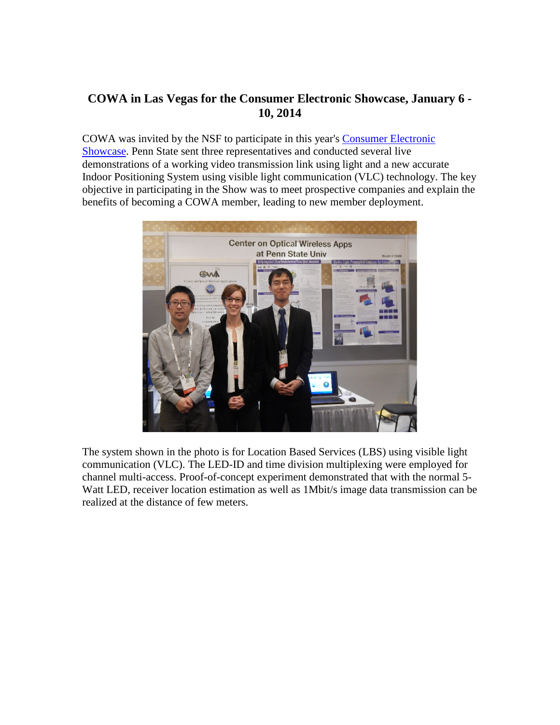## **COWA in Las Vegas for the Consumer Electronic Showcase, January 6 - 10, 2014**

COWA was invited by the NSF to participate in this year's [Consumer Electronic](http://www.cesweb.org/)  [Showcase.](http://www.cesweb.org/) Penn State sent three representatives and conducted several live demonstrations of a working video transmission link using light and a new accurate Indoor Positioning System using visible light communication (VLC) technology. The key objective in participating in the Show was to meet prospective companies and explain the benefits of becoming a COWA member, leading to new member deployment.



The system shown in the photo is for Location Based Services (LBS) using visible light communication (VLC). The LED-ID and time division multiplexing were employed for channel multi-access. Proof-of-concept experiment demonstrated that with the normal 5- Watt LED, receiver location estimation as well as 1Mbit/s image data transmission can be realized at the distance of few meters.